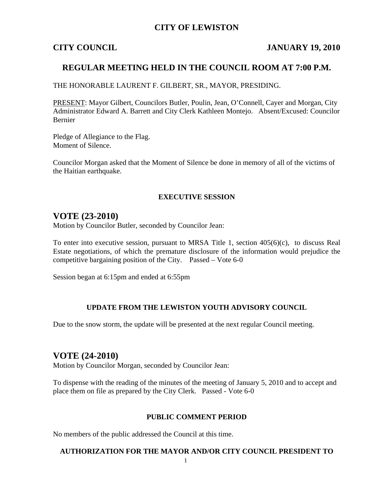## **CITY OF LEWISTON**

#### **CITY COUNCIL JANUARY 19, 2010**

#### **REGULAR MEETING HELD IN THE COUNCIL ROOM AT 7:00 P.M.**

THE HONORABLE LAURENT F. GILBERT, SR., MAYOR, PRESIDING.

PRESENT: Mayor Gilbert, Councilors Butler, Poulin, Jean, O'Connell, Cayer and Morgan, City Administrator Edward A. Barrett and City Clerk Kathleen Montejo. Absent/Excused: Councilor Bernier

Pledge of Allegiance to the Flag. Moment of Silence.

Councilor Morgan asked that the Moment of Silence be done in memory of all of the victims of the Haitian earthquake.

#### **EXECUTIVE SESSION**

#### **VOTE (23-2010)**

Motion by Councilor Butler, seconded by Councilor Jean:

To enter into executive session, pursuant to MRSA Title 1, section 405(6)(c), to discuss Real Estate negotiations, of which the premature disclosure of the information would prejudice the competitive bargaining position of the City. Passed – Vote 6-0

Session began at 6:15pm and ended at 6:55pm

#### **UPDATE FROM THE LEWISTON YOUTH ADVISORY COUNCIL**

Due to the snow storm, the update will be presented at the next regular Council meeting.

## **VOTE (24-2010)**

Motion by Councilor Morgan, seconded by Councilor Jean:

To dispense with the reading of the minutes of the meeting of January 5, 2010 and to accept and place them on file as prepared by the City Clerk. Passed - Vote 6-0

#### **PUBLIC COMMENT PERIOD**

No members of the public addressed the Council at this time.

#### **AUTHORIZATION FOR THE MAYOR AND/OR CITY COUNCIL PRESIDENT TO**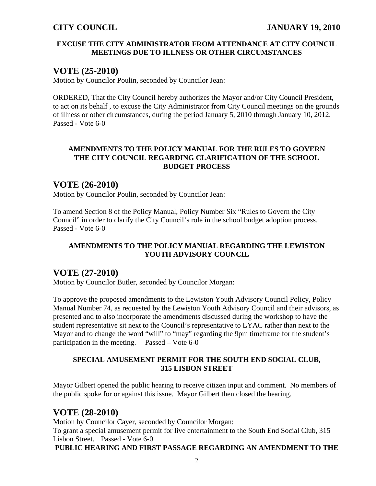#### **EXCUSE THE CITY ADMINISTRATOR FROM ATTENDANCE AT CITY COUNCIL MEETINGS DUE TO ILLNESS OR OTHER CIRCUMSTANCES**

## **VOTE (25-2010)**

Motion by Councilor Poulin, seconded by Councilor Jean:

ORDERED, That the City Council hereby authorizes the Mayor and/or City Council President, to act on its behalf , to excuse the City Administrator from City Council meetings on the grounds of illness or other circumstances, during the period January 5, 2010 through January 10, 2012. Passed - Vote 6-0

## **AMENDMENTS TO THE POLICY MANUAL FOR THE RULES TO GOVERN THE CITY COUNCIL REGARDING CLARIFICATION OF THE SCHOOL BUDGET PROCESS**

## **VOTE (26-2010)**

Motion by Councilor Poulin, seconded by Councilor Jean:

To amend Section 8 of the Policy Manual, Policy Number Six "Rules to Govern the City Council" in order to clarify the City Council's role in the school budget adoption process. Passed - Vote 6-0

## **AMENDMENTS TO THE POLICY MANUAL REGARDING THE LEWISTON YOUTH ADVISORY COUNCIL**

## **VOTE (27-2010)**

Motion by Councilor Butler, seconded by Councilor Morgan:

To approve the proposed amendments to the Lewiston Youth Advisory Council Policy, Policy Manual Number 74, as requested by the Lewiston Youth Advisory Council and their advisors, as presented and to also incorporate the amendments discussed during the workshop to have the student representative sit next to the Council's representative to LYAC rather than next to the Mayor and to change the word "will" to "may" regarding the 9pm timeframe for the student's participation in the meeting. Passed – Vote 6-0

### **SPECIAL AMUSEMENT PERMIT FOR THE SOUTH END SOCIAL CLUB, 315 LISBON STREET**

Mayor Gilbert opened the public hearing to receive citizen input and comment. No members of the public spoke for or against this issue. Mayor Gilbert then closed the hearing.

# **VOTE (28-2010)**

Motion by Councilor Cayer, seconded by Councilor Morgan: To grant a special amusement permit for live entertainment to the South End Social Club, 315 Lisbon Street. Passed - Vote 6-0<br>**PUBLIC HEARING AND FIRST PASSAGE REGARDING AN AMENDMENT TO THE**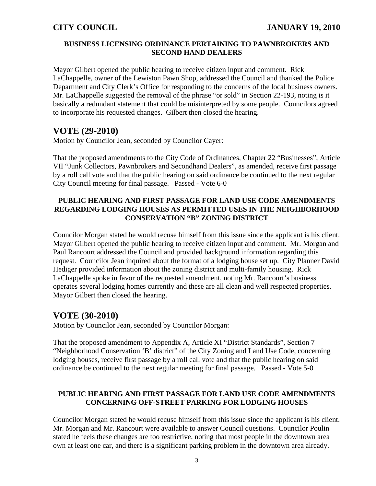#### **BUSINESS LICENSING ORDINANCE PERTAINING TO PAWNBROKERS AND SECOND HAND DEALERS**

Mayor Gilbert opened the public hearing to receive citizen input and comment. Rick LaChappelle, owner of the Lewiston Pawn Shop, addressed the Council and thanked the Police Department and City Clerk's Office for responding to the concerns of the local business owners. Mr. LaChappelle suggested the removal of the phrase "or sold" in Section 22-193, noting is it basically a redundant statement that could be misinterpreted by some people. Councilors agreed to incorporate his requested changes. Gilbert then closed the hearing.

# **VOTE (29-2010)**

Motion by Councilor Jean, seconded by Councilor Cayer:

That the proposed amendments to the City Code of Ordinances, Chapter 22 "Businesses", Article VII "Junk Collectors, Pawnbrokers and Secondhand Dealers", as amended, receive first passage by a roll call vote and that the public hearing on said ordinance be continued to the next regular City Council meeting for final passage. Passed - Vote 6-0

## **PUBLIC HEARING AND FIRST PASSAGE FOR LAND USE CODE AMENDMENTS REGARDING LODGING HOUSES AS PERMITTED USES IN THE NEIGHBORHOOD CONSERVATION "B" ZONING DISTRICT**

Councilor Morgan stated he would recuse himself from this issue since the applicant is his client. Mayor Gilbert opened the public hearing to receive citizen input and comment. Mr. Morgan and Paul Rancourt addressed the Council and provided background information regarding this request. Councilor Jean inquired about the format of a lodging house set up. City Planner David Hediger provided information about the zoning district and multi-family housing. Rick LaChappelle spoke in favor of the requested amendment, noting Mr. Rancourt's business operates several lodging homes currently and these are all clean and well respected properties. Mayor Gilbert then closed the hearing.

# **VOTE (30-2010)**

Motion by Councilor Jean, seconded by Councilor Morgan:

That the proposed amendment to Appendix A, Article XI "District Standards", Section 7 "Neighborhood Conservation 'B' district" of the City Zoning and Land Use Code, concerning lodging houses, receive first passage by a roll call vote and that the public hearing on said ordinance be continued to the next regular meeting for final passage. Passed - Vote 5-0

## **PUBLIC HEARING AND FIRST PASSAGE FOR LAND USE CODE AMENDMENTS CONCERNING OFF-STREET PARKING FOR LODGING HOUSES**

Councilor Morgan stated he would recuse himself from this issue since the applicant is his client. Mr. Morgan and Mr. Rancourt were available to answer Council questions. Councilor Poulin stated he feels these changes are too restrictive, noting that most people in the downtown area own at least one car, and there is a significant parking problem in the downtown area already.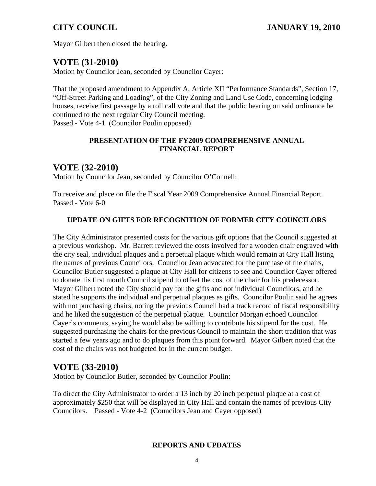Mayor Gilbert then closed the hearing.

## **VOTE (31-2010)**

Motion by Councilor Jean, seconded by Councilor Cayer:

That the proposed amendment to Appendix A, Article XII "Performance Standards", Section 17, "Off-Street Parking and Loading", of the City Zoning and Land Use Code, concerning lodging houses, receive first passage by a roll call vote and that the public hearing on said ordinance be continued to the next regular City Council meeting. Passed - Vote 4-1 (Councilor Poulin opposed)

#### **PRESENTATION OF THE FY2009 COMPREHENSIVE ANNUAL FINANCIAL REPORT**

## **VOTE (32-2010)**

Motion by Councilor Jean, seconded by Councilor O'Connell:

To receive and place on file the Fiscal Year 2009 Comprehensive Annual Financial Report. Passed - Vote 6-0

### **UPDATE ON GIFTS FOR RECOGNITION OF FORMER CITY COUNCILORS**

The City Administrator presented costs for the various gift options that the Council suggested at a previous workshop. Mr. Barrett reviewed the costs involved for a wooden chair engraved with the city seal, individual plaques and a perpetual plaque which would remain at City Hall listing the names of previous Councilors. Councilor Jean advocated for the purchase of the chairs, Councilor Butler suggested a plaque at City Hall for citizens to see and Councilor Cayer offered to donate his first month Council stipend to offset the cost of the chair for his predecessor. Mayor Gilbert noted the City should pay for the gifts and not individual Councilors, and he stated he supports the individual and perpetual plaques as gifts. Councilor Poulin said he agrees with not purchasing chairs, noting the previous Council had a track record of fiscal responsibility and he liked the suggestion of the perpetual plaque. Councilor Morgan echoed Councilor Cayer's comments, saying he would also be willing to contribute his stipend for the cost. He suggested purchasing the chairs for the previous Council to maintain the short tradition that was started a few years ago and to do plaques from this point forward. Mayor Gilbert noted that the cost of the chairs was not budgeted for in the current budget.

# **VOTE (33-2010)**

Motion by Councilor Butler, seconded by Councilor Poulin:

To direct the City Administrator to order a 13 inch by 20 inch perpetual plaque at a cost of approximately \$250 that will be displayed in City Hall and contain the names of previous City Councilors. Passed - Vote 4-2 (Councilors Jean and Cayer opposed)

#### **REPORTS AND UPDATES**